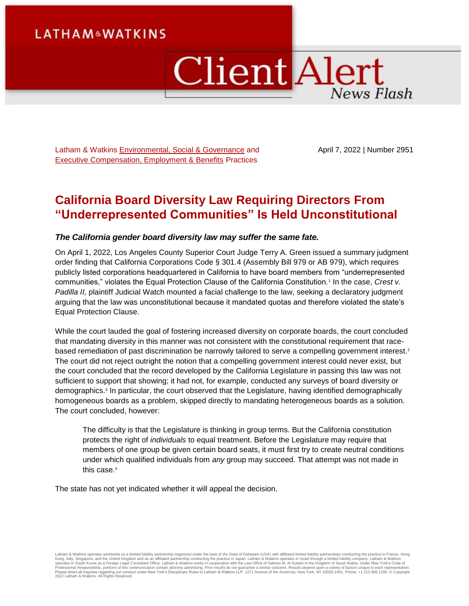# **LATHAM&WATKINS**

# **Client Alert News Flash**

Latham & Watkins [Environmental, Social & Governance](https://www.lw.com/practices/EnvironmentalSocialGovernance) and [Executive Compensation, Employment & Benefits](https://www.lw.com/practices/ExecutiveCompensationEmploymentAndBenefits) Practices

April 7, 2022 | Number 2951

# **California Board Diversity Law Requiring Directors From "Underrepresented Communities" Is Held Unconstitutional**

### *The California gender board diversity law may suffer the same fate.*

On April 1, 2022, Los Angeles County Superior Court Judge Terry A. Green issued a summary judgment order finding that California Corporations Code § 301.4 (Assembly Bill 979 or AB 979), which requires publicly listed corporations headquartered in California to have board members from "underrepresented communities," violates the Equal Protection Clause of the California Constitution.<sup>1</sup> In the case, *Crest v. Padilla II,* plaintiff Judicial Watch mounted a facial challenge to the law, seeking a declaratory judgment arguing that the law was unconstitutional because it mandated quotas and therefore violated the state's Equal Protection Clause.

While the court lauded the goal of fostering increased diversity on corporate boards, the court concluded that mandating diversity in this manner was not consistent with the constitutional requirement that racebased remediation of past discrimination be narrowly tailored to serve a compelling government interest.<sup>2</sup> The court did not reject outright the notion that a compelling government interest could never exist, but the court concluded that the record developed by the California Legislature in passing this law was not sufficient to support that showing; it had not, for example, conducted any surveys of board diversity or demographics.<sup>3</sup> In particular, the court observed that the Legislature, having identified demographically homogeneous boards as a problem, skipped directly to mandating heterogeneous boards as a solution. The court concluded, however:

The difficulty is that the Legislature is thinking in group terms. But the California constitution protects the right of *individuals* to equal treatment. Before the Legislature may require that members of one group be given certain board seats, it must first try to create neutral conditions under which qualified individuals from *any* group may succeed. That attempt was not made in this case.<sup>4</sup>

The state has not yet indicated whether it will appeal the decision.

Latham & Watkins operates worldwide as a limited liability partnership organized under the laws of the State of Delaware (USA) with affiliated limited liability partnerships conducting the practice in France, Hong Kong, Italy, Singapore, and the United Kingdom and as an affiliated partnership conducting the practice in Japan. Latham & Watkins operates in Israel through a limited liablitly company. Latham & Watkins<br>operates in South 2022 Latham & Watkins. All Rights Reserved.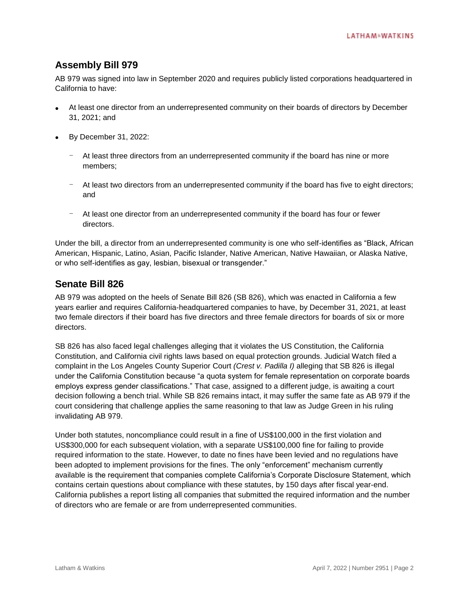## **Assembly Bill 979**

AB 979 was signed into law in September 2020 and requires publicly listed corporations headquartered in California to have:

- At least one director from an underrepresented community on their boards of directors by December 31, 2021; and
- By December 31, 2022:
	- At least three directors from an underrepresented community if the board has nine or more members;
	- At least two directors from an underrepresented community if the board has five to eight directors; and
	- At least one director from an underrepresented community if the board has four or fewer directors.

Under the bill, a director from an underrepresented community is one who self-identifies as "Black, African American, Hispanic, Latino, Asian, Pacific Islander, Native American, Native Hawaiian, or Alaska Native, or who self-identifies as gay, lesbian, bisexual or transgender."

## **Senate Bill 826**

AB 979 was adopted on the heels of Senate Bill 826 (SB 826), which was enacted in California a few years earlier and requires California-headquartered companies to have, by December 31, 2021, at least two female directors if their board has five directors and three female directors for boards of six or more directors.

SB 826 has also faced legal challenges alleging that it violates the US Constitution, the California Constitution, and California civil rights laws based on equal protection grounds. Judicial Watch filed a complaint in the Los Angeles County Superior Court *(Crest v. Padilla I)* alleging that SB 826 is illegal under the California Constitution because "a quota system for female representation on corporate boards employs express gender classifications." That case, assigned to a different judge, is awaiting a court decision following a bench trial. While SB 826 remains intact, it may suffer the same fate as AB 979 if the court considering that challenge applies the same reasoning to that law as Judge Green in his ruling invalidating AB 979.

Under both statutes, noncompliance could result in a fine of US\$100,000 in the first violation and US\$300,000 for each subsequent violation, with a separate US\$100,000 fine for failing to provide required information to the state. However, to date no fines have been levied and no regulations have been adopted to implement provisions for the fines. The only "enforcement" mechanism currently available is the requirement that companies complete California's Corporate Disclosure Statement, which contains certain questions about compliance with these statutes, by 150 days after fiscal year-end. California publishes a report listing all companies that submitted the required information and the number of directors who are female or are from underrepresented communities.